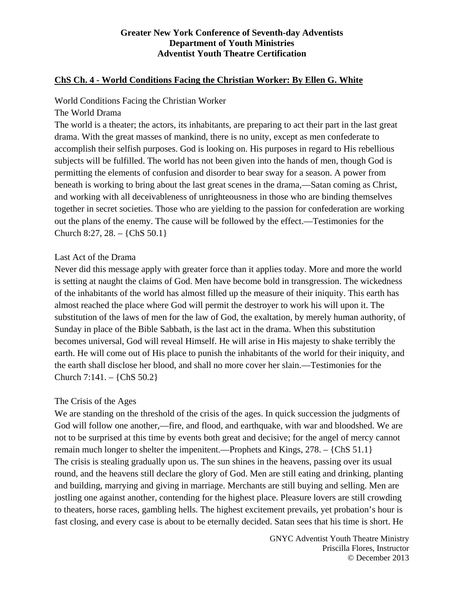### **ChS Ch. 4 - World Conditions Facing the Christian Worker: By Ellen G. White**

### World Conditions Facing the Christian Worker

The World Drama

The world is a theater; the actors, its inhabitants, are preparing to act their part in the last great drama. With the great masses of mankind, there is no unity, except as men confederate to accomplish their selfish purposes. God is looking on. His purposes in regard to His rebellious subjects will be fulfilled. The world has not been given into the hands of men, though God is permitting the elements of confusion and disorder to bear sway for a season. A power from beneath is working to bring about the last great scenes in the drama,—Satan coming as Christ, and working with all deceivableness of unrighteousness in those who are binding themselves together in secret societies. Those who are yielding to the passion for confederation are working out the plans of the enemy. The cause will be followed by the effect.—Testimonies for the Church 8:27, 28. – {ChS 50.1}

### Last Act of the Drama

Never did this message apply with greater force than it applies today. More and more the world is setting at naught the claims of God. Men have become bold in transgression. The wickedness of the inhabitants of the world has almost filled up the measure of their iniquity. This earth has almost reached the place where God will permit the destroyer to work his will upon it. The substitution of the laws of men for the law of God, the exaltation, by merely human authority, of Sunday in place of the Bible Sabbath, is the last act in the drama. When this substitution becomes universal, God will reveal Himself. He will arise in His majesty to shake terribly the earth. He will come out of His place to punish the inhabitants of the world for their iniquity, and the earth shall disclose her blood, and shall no more cover her slain.—Testimonies for the Church  $7:141. - \{ChS\,50.2\}$ 

### The Crisis of the Ages

We are standing on the threshold of the crisis of the ages. In quick succession the judgments of God will follow one another,—fire, and flood, and earthquake, with war and bloodshed. We are not to be surprised at this time by events both great and decisive; for the angel of mercy cannot remain much longer to shelter the impenitent.—Prophets and Kings, 278. – {ChS 51.1} The crisis is stealing gradually upon us. The sun shines in the heavens, passing over its usual round, and the heavens still declare the glory of God. Men are still eating and drinking, planting and building, marrying and giving in marriage. Merchants are still buying and selling. Men are jostling one against another, contending for the highest place. Pleasure lovers are still crowding to theaters, horse races, gambling hells. The highest excitement prevails, yet probation's hour is fast closing, and every case is about to be eternally decided. Satan sees that his time is short. He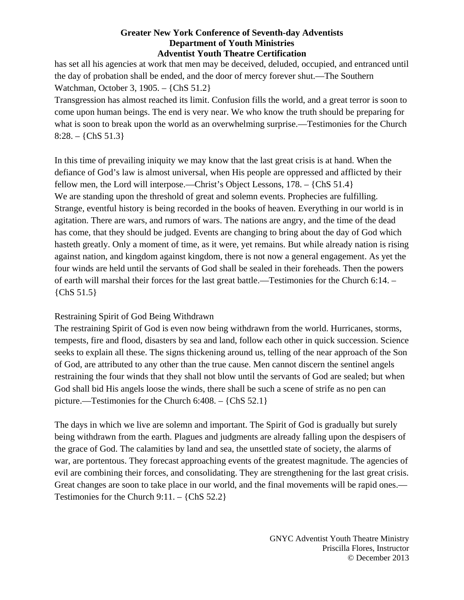has set all his agencies at work that men may be deceived, deluded, occupied, and entranced until the day of probation shall be ended, and the door of mercy forever shut.—The Southern Watchman, October 3, 1905. – {ChS 51.2}

Transgression has almost reached its limit. Confusion fills the world, and a great terror is soon to come upon human beings. The end is very near. We who know the truth should be preparing for what is soon to break upon the world as an overwhelming surprise.—Testimonies for the Church  $8:28. - \{ChS 51.3\}$ 

In this time of prevailing iniquity we may know that the last great crisis is at hand. When the defiance of God's law is almost universal, when His people are oppressed and afflicted by their fellow men, the Lord will interpose.—Christ's Object Lessons, 178. – {ChS 51.4} We are standing upon the threshold of great and solemn events. Prophecies are fulfilling. Strange, eventful history is being recorded in the books of heaven. Everything in our world is in agitation. There are wars, and rumors of wars. The nations are angry, and the time of the dead has come, that they should be judged. Events are changing to bring about the day of God which hasteth greatly. Only a moment of time, as it were, yet remains. But while already nation is rising against nation, and kingdom against kingdom, there is not now a general engagement. As yet the four winds are held until the servants of God shall be sealed in their foreheads. Then the powers of earth will marshal their forces for the last great battle.—Testimonies for the Church 6:14. –  ${ChS 51.5}$ 

# Restraining Spirit of God Being Withdrawn

The restraining Spirit of God is even now being withdrawn from the world. Hurricanes, storms, tempests, fire and flood, disasters by sea and land, follow each other in quick succession. Science seeks to explain all these. The signs thickening around us, telling of the near approach of the Son of God, are attributed to any other than the true cause. Men cannot discern the sentinel angels restraining the four winds that they shall not blow until the servants of God are sealed; but when God shall bid His angels loose the winds, there shall be such a scene of strife as no pen can picture.—Testimonies for the Church 6:408. – {ChS 52.1}

The days in which we live are solemn and important. The Spirit of God is gradually but surely being withdrawn from the earth. Plagues and judgments are already falling upon the despisers of the grace of God. The calamities by land and sea, the unsettled state of society, the alarms of war, are portentous. They forecast approaching events of the greatest magnitude. The agencies of evil are combining their forces, and consolidating. They are strengthening for the last great crisis. Great changes are soon to take place in our world, and the final movements will be rapid ones.— Testimonies for the Church  $9:11. - \{ChS\ 52.2\}$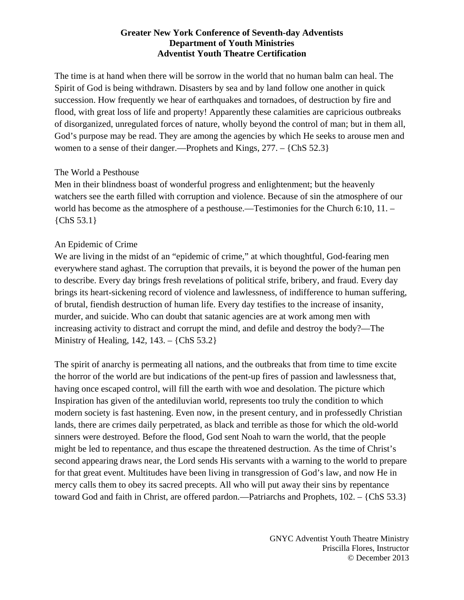The time is at hand when there will be sorrow in the world that no human balm can heal. The Spirit of God is being withdrawn. Disasters by sea and by land follow one another in quick succession. How frequently we hear of earthquakes and tornadoes, of destruction by fire and flood, with great loss of life and property! Apparently these calamities are capricious outbreaks of disorganized, unregulated forces of nature, wholly beyond the control of man; but in them all, God's purpose may be read. They are among the agencies by which He seeks to arouse men and women to a sense of their danger.—Prophets and Kings, 277. – {ChS 52.3}

### The World a Pesthouse

Men in their blindness boast of wonderful progress and enlightenment; but the heavenly watchers see the earth filled with corruption and violence. Because of sin the atmosphere of our world has become as the atmosphere of a pesthouse.—Testimonies for the Church 6:10, 11. –  ${ChS 53.1}$ 

### An Epidemic of Crime

We are living in the midst of an "epidemic of crime," at which thoughtful, God-fearing men everywhere stand aghast. The corruption that prevails, it is beyond the power of the human pen to describe. Every day brings fresh revelations of political strife, bribery, and fraud. Every day brings its heart-sickening record of violence and lawlessness, of indifference to human suffering, of brutal, fiendish destruction of human life. Every day testifies to the increase of insanity, murder, and suicide. Who can doubt that satanic agencies are at work among men with increasing activity to distract and corrupt the mind, and defile and destroy the body?—The Ministry of Healing, 142, 143. – {ChS 53.2}

The spirit of anarchy is permeating all nations, and the outbreaks that from time to time excite the horror of the world are but indications of the pent-up fires of passion and lawlessness that, having once escaped control, will fill the earth with woe and desolation. The picture which Inspiration has given of the antediluvian world, represents too truly the condition to which modern society is fast hastening. Even now, in the present century, and in professedly Christian lands, there are crimes daily perpetrated, as black and terrible as those for which the old-world sinners were destroyed. Before the flood, God sent Noah to warn the world, that the people might be led to repentance, and thus escape the threatened destruction. As the time of Christ's second appearing draws near, the Lord sends His servants with a warning to the world to prepare for that great event. Multitudes have been living in transgression of God's law, and now He in mercy calls them to obey its sacred precepts. All who will put away their sins by repentance toward God and faith in Christ, are offered pardon.—Patriarchs and Prophets, 102. – {ChS 53.3}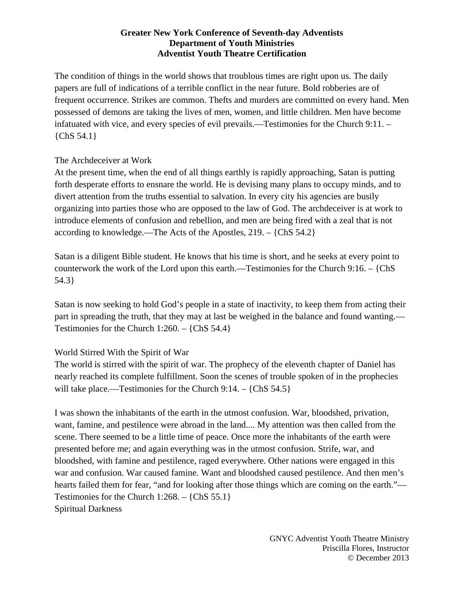The condition of things in the world shows that troublous times are right upon us. The daily papers are full of indications of a terrible conflict in the near future. Bold robberies are of frequent occurrence. Strikes are common. Thefts and murders are committed on every hand. Men possessed of demons are taking the lives of men, women, and little children. Men have become infatuated with vice, and every species of evil prevails.—Testimonies for the Church 9:11. –  ${ChS 54.1}$ 

## The Archdeceiver at Work

At the present time, when the end of all things earthly is rapidly approaching, Satan is putting forth desperate efforts to ensnare the world. He is devising many plans to occupy minds, and to divert attention from the truths essential to salvation. In every city his agencies are busily organizing into parties those who are opposed to the law of God. The archdeceiver is at work to introduce elements of confusion and rebellion, and men are being fired with a zeal that is not according to knowledge.—The Acts of the Apostles, 219. – {ChS 54.2}

Satan is a diligent Bible student. He knows that his time is short, and he seeks at every point to counterwork the work of the Lord upon this earth.—Testimonies for the Church 9:16. – {ChS 54.3}

Satan is now seeking to hold God's people in a state of inactivity, to keep them from acting their part in spreading the truth, that they may at last be weighed in the balance and found wanting.— Testimonies for the Church  $1:260. - \{ChS\ 54.4\}$ 

# World Stirred With the Spirit of War

The world is stirred with the spirit of war. The prophecy of the eleventh chapter of Daniel has nearly reached its complete fulfillment. Soon the scenes of trouble spoken of in the prophecies will take place.—Testimonies for the Church  $9:14. - \{ChS\}$  54.5}

I was shown the inhabitants of the earth in the utmost confusion. War, bloodshed, privation, want, famine, and pestilence were abroad in the land.... My attention was then called from the scene. There seemed to be a little time of peace. Once more the inhabitants of the earth were presented before me; and again everything was in the utmost confusion. Strife, war, and bloodshed, with famine and pestilence, raged everywhere. Other nations were engaged in this war and confusion. War caused famine. Want and bloodshed caused pestilence. And then men's hearts failed them for fear, "and for looking after those things which are coming on the earth."— Testimonies for the Church  $1:268. - \{ChS 55.1\}$ Spiritual Darkness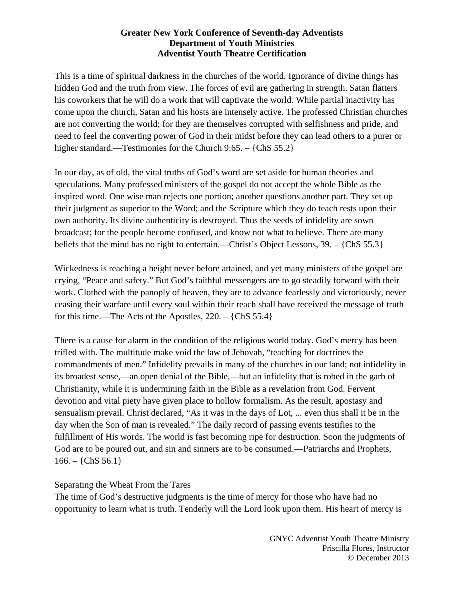This is a time of spiritual darkness in the churches of the world. Ignorance of divine things has hidden God and the truth from view. The forces of evil are gathering in strength. Satan flatters his coworkers that he will do a work that will captivate the world. While partial inactivity has come upon the church, Satan and his hosts are intensely active. The professed Christian churches are not converting the world; for they are themselves corrupted with selfishness and pride, and need to feel the converting power of God in their midst before they can lead others to a purer or higher standard.—Testimonies for the Church 9:65. – {ChS 55.2}

In our day, as of old, the vital truths of God's word are set aside for human theories and speculations. Many professed ministers of the gospel do not accept the whole Bible as the inspired word. One wise man rejects one portion; another questions another part. They set up their judgment as superior to the Word; and the Scripture which they do teach rests upon their own authority. Its divine authenticity is destroyed. Thus the seeds of infidelity are sown broadcast; for the people become confused, and know not what to believe. There are many beliefs that the mind has no right to entertain.—Christ's Object Lessons, 39. – {ChS 55.3}

Wickedness is reaching a height never before attained, and yet many ministers of the gospel are crying, "Peace and safety." But God's faithful messengers are to go steadily forward with their work. Clothed with the panoply of heaven, they are to advance fearlessly and victoriously, never ceasing their warfare until every soul within their reach shall have received the message of truth for this time.—The Acts of the Apostles,  $220. - \{ChS 55.4\}$ 

There is a cause for alarm in the condition of the religious world today. God's mercy has been trifled with. The multitude make void the law of Jehovah, "teaching for doctrines the commandments of men." Infidelity prevails in many of the churches in our land; not infidelity in its broadest sense,—an open denial of the Bible,—but an infidelity that is robed in the garb of Christianity, while it is undermining faith in the Bible as a revelation from God. Fervent devotion and vital piety have given place to hollow formalism. As the result, apostasy and sensualism prevail. Christ declared, "As it was in the days of Lot, ... even thus shall it be in the day when the Son of man is revealed." The daily record of passing events testifies to the fulfillment of His words. The world is fast becoming ripe for destruction. Soon the judgments of God are to be poured out, and sin and sinners are to be consumed.—Patriarchs and Prophets,  $166. - \{ChS 56.1\}$ 

### Separating the Wheat From the Tares

The time of God's destructive judgments is the time of mercy for those who have had no opportunity to learn what is truth. Tenderly will the Lord look upon them. His heart of mercy is